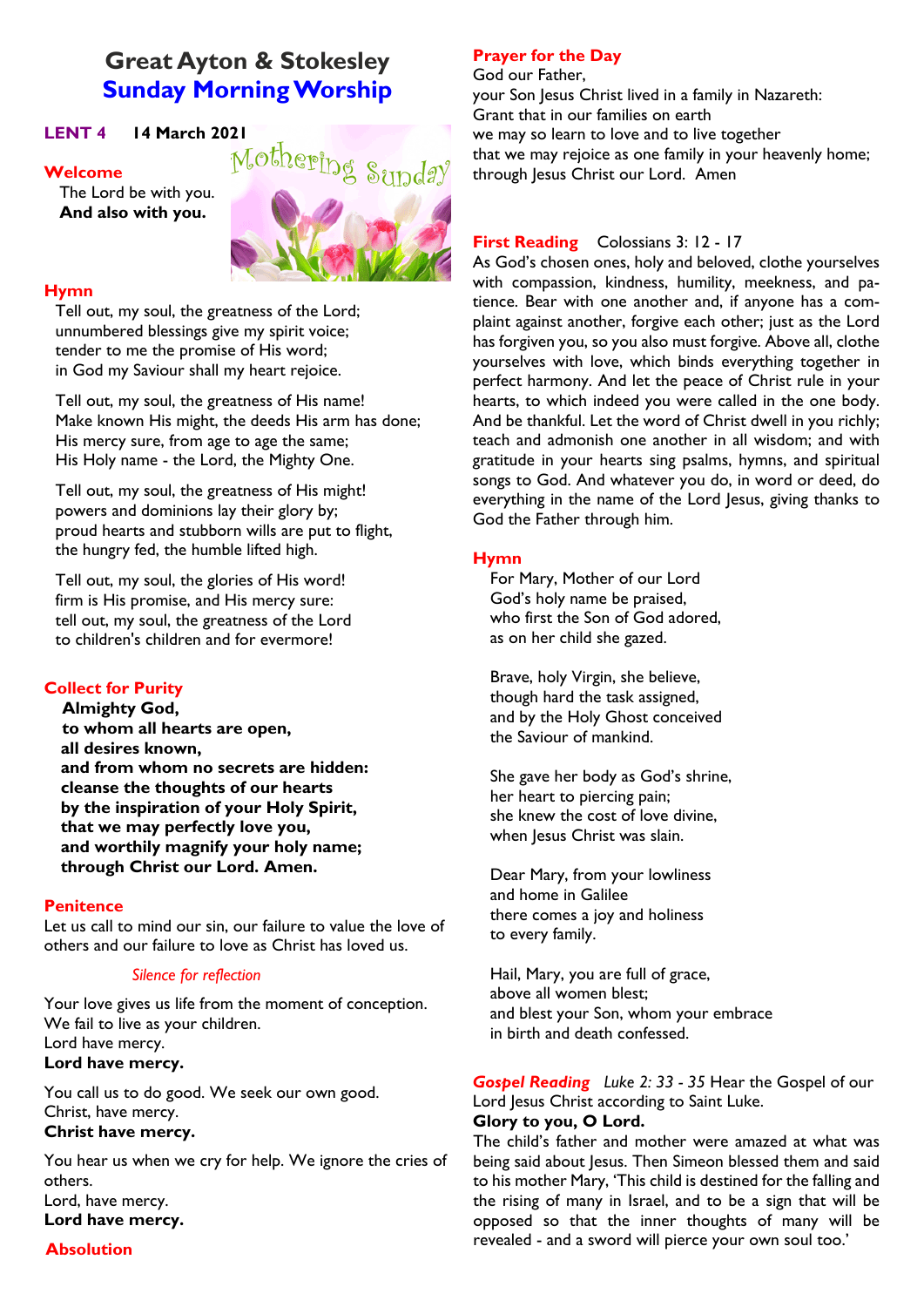# **Great Ayton & Stokesley Sunday Morning Worship**

**Welcome**

The Lord be with you. **And also with you.**



# **Hymn**

Tell out, my soul, the greatness of the Lord; unnumbered blessings give my spirit voice; tender to me the promise of His word; in God my Saviour shall my heart rejoice.

Tell out, my soul, the greatness of His name! Make known His might, the deeds His arm has done; His mercy sure, from age to age the same; His Holy name - the Lord, the Mighty One.

Tell out, my soul, the greatness of His might! powers and dominions lay their glory by; proud hearts and stubborn wills are put to flight, the hungry fed, the humble lifted high.

Tell out, my soul, the glories of His word! firm is His promise, and His mercy sure: tell out, my soul, the greatness of the Lord to children's children and for evermore!

# **Collect for Purity**

**Almighty God, to whom all hearts are open, all desires known, and from whom no secrets are hidden: cleanse the thoughts of our hearts by the inspiration of your Holy Spirit, that we may perfectly love you, and worthily magnify your holy name; through Christ our Lord. Amen.**

### **Penitence**

Let us call to mind our sin, our failure to value the love of others and our failure to love as Christ has loved us.

# *Silence for reflection*

Your love gives us life from the moment of conception. We fail to live as your children. Lord have mercy.

# **Lord have mercy.**

You call us to do good. We seek our own good. Christ, have mercy.

# **Christ have mercy.**

You hear us when we cry for help. We ignore the cries of others. Lord, have mercy.

**Lord have mercy.**

# **Absolution**

# **Prayer for the Day**

God our Father, your Son Jesus Christ lived in a family in Nazareth: Grant that in our families on earth we may so learn to love and to live together that we may rejoice as one family in your heavenly home; through Jesus Christ our Lord. Amen

# **First Reading** Colossians 3: 12 - 17

As God's chosen ones, holy and beloved, clothe yourselves with compassion, kindness, humility, meekness, and patience. Bear with one another and, if anyone has a complaint against another, forgive each other; just as the Lord has forgiven you, so you also must forgive. Above all, clothe yourselves with love, which binds everything together in perfect harmony. And let the peace of Christ rule in your hearts, to which indeed you were called in the one body. And be thankful. Let the word of Christ dwell in you richly; teach and admonish one another in all wisdom; and with gratitude in your hearts sing psalms, hymns, and spiritual songs to God. And whatever you do, in word or deed, do everything in the name of the Lord Jesus, giving thanks to God the Father through him.

# **Hymn**

For Mary, Mother of our Lord God's holy name be praised, who first the Son of God adored, as on her child she gazed.

Brave, holy Virgin, she believe, though hard the task assigned, and by the Holy Ghost conceived the Saviour of mankind.

She gave her body as God's shrine, her heart to piercing pain; she knew the cost of love divine, when Jesus Christ was slain.

Dear Mary, from your lowliness and home in Galilee there comes a joy and holiness to every family.

Hail, Mary, you are full of grace, above all women blest; and blest your Son, whom your embrace in birth and death confessed.

*Gospel Reading Luke 2: 33 - 35* Hear the Gospel of our Lord Jesus Christ according to Saint Luke.

# **Glory to you, O Lord.**

The child's father and mother were amazed at what was being said about Jesus. Then Simeon blessed them and said to his mother Mary, 'This child is destined for the falling and the rising of many in Israel, and to be a sign that will be opposed so that the inner thoughts of many will be revealed - and a sword will pierce your own soul too.'